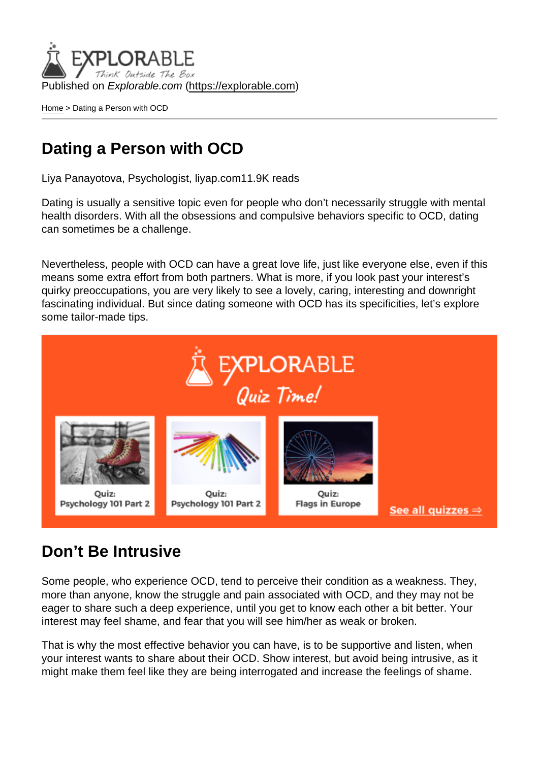Published on Explorable.com (<https://explorable.com>)

[Home](https://explorable.com/) > Dating a Person with OCD

### Dating a Person with OCD

Liya Panayotova, Psychologist, liyap.com11.9K reads

Dating is usually a sensitive topic even for people who don't necessarily struggle with mental health disorders. With all the obsessions and compulsive behaviors specific to OCD, dating can sometimes be a challenge.

Nevertheless, people with OCD can have a great love life, just like everyone else, even if this means some extra effort from both partners. What is more, if you look past your interest's quirky preoccupations, you are very likely to see a lovely, caring, interesting and downright fascinating individual. But since dating someone with OCD has its specificities, let's explore some tailor-made tips.

### Don't Be Intrusive

Some people, who experience OCD, tend to perceive their condition as a weakness. They, more than anyone, know the struggle and pain associated with OCD, and they may not be eager to share such a deep experience, until you get to know each other a bit better. Your interest may feel shame, and fear that you will see him/her as weak or broken.

That is why the most effective behavior you can have, is to be supportive and listen, when your interest wants to share about their OCD. Show interest, but avoid being intrusive, as it might make them feel like they are being interrogated and increase the feelings of shame.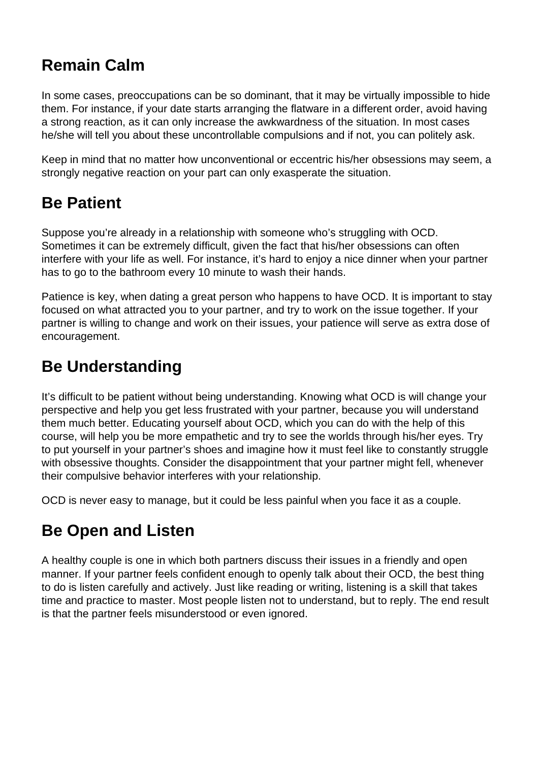# **Remain Calm**

In some cases, preoccupations can be so dominant, that it may be virtually impossible to hide them. For instance, if your date starts arranging the flatware in a different order, avoid having a strong reaction, as it can only increase the awkwardness of the situation. In most cases he/she will tell you about these uncontrollable compulsions and if not, you can politely ask.

Keep in mind that no matter how unconventional or eccentric his/her obsessions may seem, a strongly negative reaction on your part can only exasperate the situation.

## **Be Patient**

Suppose you're already in a relationship with someone who's struggling with OCD. Sometimes it can be extremely difficult, given the fact that his/her obsessions can often interfere with your life as well. For instance, it's hard to enjoy a nice dinner when your partner has to go to the bathroom every 10 minute to wash their hands.

Patience is key, when dating a great person who happens to have OCD. It is important to stay focused on what attracted you to your partner, and try to work on the issue together. If your partner is willing to change and work on their issues, your patience will serve as extra dose of encouragement.

### **Be Understanding**

It's difficult to be patient without being understanding. Knowing what OCD is will change your perspective and help you get less frustrated with your partner, because you will understand them much better. Educating yourself about OCD, which you can do with the help of this course, will help you be more empathetic and try to see the worlds through his/her eyes. Try to put yourself in your partner's shoes and imagine how it must feel like to constantly struggle with obsessive thoughts. Consider the disappointment that your partner might fell, whenever their compulsive behavior interferes with your relationship.

OCD is never easy to manage, but it could be less painful when you face it as a couple.

## **Be Open and Listen**

A healthy couple is one in which both partners discuss their issues in a friendly and open manner. If your partner feels confident enough to openly talk about their OCD, the best thing to do is listen carefully and actively. Just like reading or writing, listening is a skill that takes time and practice to master. Most people listen not to understand, but to reply. The end result is that the partner feels misunderstood or even ignored.